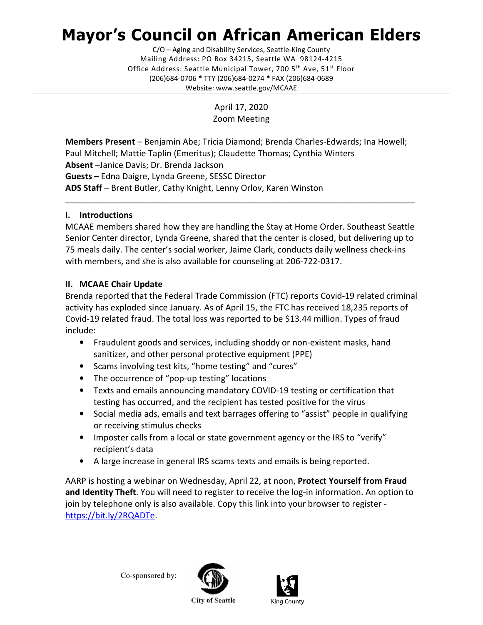# Mayor's Council on African American Elders

 Mailing Address: PO Box 34215, Seattle WA 98124-4215 Office Address: Seattle Municipal Tower, 700 5<sup>th</sup> Ave, 51<sup>st</sup> Floor (206)684-0706 \* TTY (206)684-0274 \* FAX (206)684-0689 C/O – Aging and Disability Services, Seattle-King County Website: <www.seattle.gov/MCAAE>

> April 17, 2020 Zoom Meeting

Members Present - Benjamin Abe; Tricia Diamond; Brenda Charles-Edwards; Ina Howell; Paul Mitchell; Mattie Taplin (Emeritus); Claudette Thomas; Cynthia Winters Absent -Janice Davis; Dr. Brenda Jackson Guests - Edna Daigre, Lynda Greene, SESSC Director ADS Staff - Brent Butler, Cathy Knight, Lenny Orlov, Karen Winston

# I. Introductions

 MCAAE members shared how they are handling the Stay at Home Order. Southeast Seattle Senior Center director, Lynda Greene, shared that the center is closed, but delivering up to 75 meals daily. The center's social worker, Jaime Clark, conducts daily wellness check-ins with members, and she is also available for counseling at 206-722-0317.

\_\_\_\_\_\_\_\_\_\_\_\_\_\_\_\_\_\_\_\_\_\_\_\_\_\_\_\_\_\_\_\_\_\_\_\_\_\_\_\_\_\_\_\_\_\_\_\_\_\_\_\_\_\_\_\_\_\_\_\_\_\_\_\_\_\_\_\_\_\_\_\_\_\_\_\_\_\_\_\_\_

# II. MCAAE Chair Update

 Brenda reported that the Federal Trade Commission (FTC) reports Covid-19 related criminal activity has exploded since January. As of April 15, the FTC has received 18,235 reports of Covid-19 related fraud. The total loss was reported to be \$13.44 million. Types of fraud include:

- • Fraudulent goods and services, including shoddy or non-existent masks, hand sanitizer, and other personal protective equipment (PPE)
- Scams involving test kits, "home testing" and "cures"
- The occurrence of "pop-up testing" locations
- • Texts and emails announcing mandatory COVID-19 testing or certification that testing has occurred, and the recipient has tested positive for the virus
- • Social media ads, emails and text barrages offering to "assist" people in qualifying or receiving stimulus checks
- Imposter calls from a local or state government agency or the IRS to "verify" recipient's data
- A large increase in general IRS scams texts and emails is being reported.

AARP is hosting a webinar on Wednesday, April 22, at noon, Protect Yourself from Fraud and Identity Theft. You will need to register to receive the log-in information. An option to join by telephone only is also available. Copy this link into your browser to register <https://bit.ly/2RQADTe>.

Co-sponsored by:





**City of Seattle**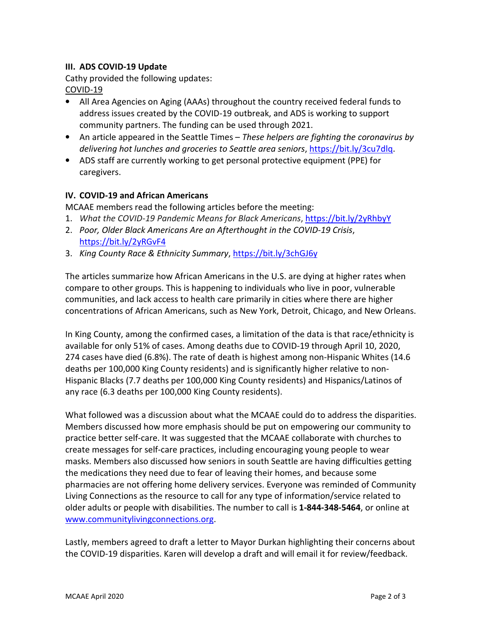#### III. ADS COVID-19 Update

 Cathy provided the following updates: COVID-19

- • All Area Agencies on Aging (AAAs) throughout the country received federal funds to address issues created by the COVID-19 outbreak, and ADS is working to support community partners. The funding can be used through 2021.
- An article appeared in the Seattle Times These helpers are fighting the coronavirus by delivering hot lunches and groceries to Seattle area seniors,<https://bit.ly/3cu7dlq>.
- • ADS staff are currently working to get personal protective equipment (PPE) for caregivers.

## IV. COVID-19 and African Americans

MCAAE members read the following articles before the meeting:

- 1. What the COVID-19 Pandemic Means for Black Americans, https://bit.ly/2yRhbyY
- 2. Poor, Older Black Americans Are an Afterthought in the COVID-19 Crisis, <https://bit.ly/2yRGvF4>
- 3. King County Race & Ethnicity Summary, https://bit.ly/3chGJ6y

 The articles summarize how African Americans in the U.S. are dying at higher rates when compare to other groups. This is happening to individuals who live in poor, vulnerable communities, and lack access to health care primarily in cities where there are higher concentrations of African Americans, such as New York, Detroit, Chicago, and New Orleans.

 In King County, among the confirmed cases, a limitation of the data is that race/ethnicity is available for only 51% of cases. Among deaths due to COVID-19 through April 10, 2020, 274 cases have died (6.8%). The rate of death is highest among non-Hispanic Whites (14.6 deaths per 100,000 King County residents) and is significantly higher relative to non- Hispanic Blacks (7.7 deaths per 100,000 King County residents) and Hispanics/Latinos of any race (6.3 deaths per 100,000 King County residents).

 What followed was a discussion about what the MCAAE could do to address the disparities. Members discussed how more emphasis should be put on empowering our community to practice better self-care. It was suggested that the MCAAE collaborate with churches to create messages for self-care practices, including encouraging young people to wear masks. Members also discussed how seniors in south Seattle are having difficulties getting the medications they need due to fear of leaving their homes, and because some pharmacies are not offering home delivery services. Everyone was reminded of Community Living Connections as the resource to call for any type of information/service related to older adults or people with disabilities. The number to call is 1-844-348-5464, or online at <www.communitylivingconnections.org>.

 Lastly, members agreed to draft a letter to Mayor Durkan highlighting their concerns about the COVID-19 disparities. Karen will develop a draft and will email it for review/feedback.